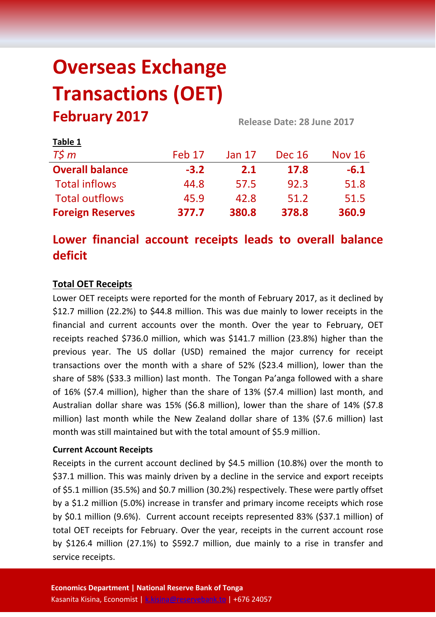# **Overseas Exchange Transactions (OET) February 2017 Release Date: 28 June <sup>2017</sup>**

| Table 1                 |        |               |               |               |
|-------------------------|--------|---------------|---------------|---------------|
| $T\zeta m$              | Feb 17 | <b>Jan 17</b> | <b>Dec 16</b> | <b>Nov 16</b> |
| <b>Overall balance</b>  | $-3.2$ | 2.1           | 17.8          | $-6.1$        |
| <b>Total inflows</b>    | 44.8   | 57.5          | 92.3          | 51.8          |
| <b>Total outflows</b>   | 45.9   | 42.8          | 51.2          | 51.5          |
| <b>Foreign Reserves</b> | 377.7  | 380.8         | 378.8         | 360.9         |

## **Lower financial account receipts leads to overall balance deficit**

### **Total OET Receipts**

Lower OET receipts were reported for the month of February 2017, as it declined by \$12.7 million (22.2%) to \$44.8 million. This was due mainly to lower receipts in the financial and current accounts over the month. Over the year to February, OET receipts reached \$736.0 million, which was \$141.7 million (23.8%) higher than the previous year. The US dollar (USD) remained the major currency for receipt transactions over the month with a share of 52% (\$23.4 million), lower than the share of 58% (\$33.3 million) last month. The Tongan Pa'anga followed with a share of 16% (\$7.4 million), higher than the share of 13% (\$7.4 million) last month, and Australian dollar share was 15% (\$6.8 million), lower than the share of 14% (\$7.8 million) last month while the New Zealand dollar share of 13% (\$7.6 million) last month was still maintained but with the total amount of \$5.9 million.

#### **Current Account Receipts**

Receipts in the current account declined by \$4.5 million (10.8%) over the month to \$37.1 million. This was mainly driven by a decline in the service and export receipts of \$5.1 million (35.5%) and \$0.7 million (30.2%) respectively. These were partly offset by a \$1.2 million (5.0%) increase in transfer and primary income receipts which rose by \$0.1 million (9.6%). Current account receipts represented 83% (\$37.1 million) of total OET receipts for February. Over the year, receipts in the current account rose by \$126.4 million (27.1%) to \$592.7 million, due mainly to a rise in transfer and service receipts.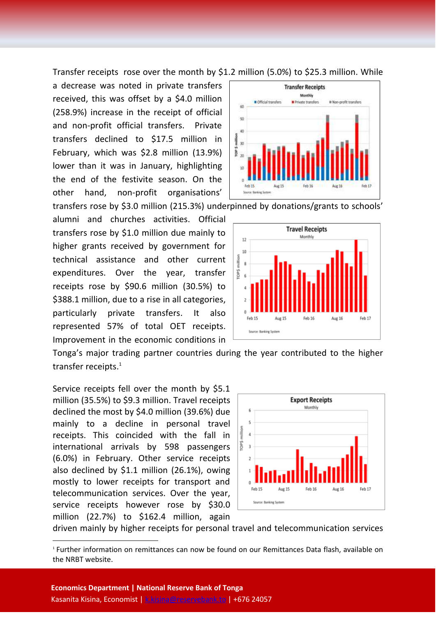Transfer receipts rose over the month by \$1.2 million (5.0%) to \$25.3 million. While

a decrease was noted in private transfers received, this was offset by a \$4.0 million (258.9%) increase in the receipt of official and non-profit official transfers. Private transfers declined to \$17.5 million in February, which was \$2.8 million (13.9%) lower than it was in January, highlighting the end of the festivite season. On the other hand, non-profit organisations'

transfers rose by \$3.0 million (215.3%) underpinned by donations/grants to schools'

alumni and churches activities. Official transfers rose by \$1.0 million due mainly to higher grants received by government for technical assistance and other current expenditures. Over the year, transfer receipts rose by \$90.6 million (30.5%) to \$388.1 million, due to a rise in all categories, particularly private transfers. It also represented 57% of total OET receipts. Improvement in the economic conditions in



**Transfer Receipts** Monthly

Private transfers

Il Non-profit transfers

Cfficial transfers

Source: Banking System

`è is. 40 million  $\overline{\mathbf{3}}$ 

Tonga's major trading partner countries during the year contributed to the higher transfer receipts. 1

Service receipts fell over the month by \$5.1 million (35.5%) to \$9.3 million. Travel receipts declined the most by \$4.0 million (39.6%) due mainly to a decline in personal travel receipts. This coincided with the fall in international arrivals by 598 passengers (6.0%) in February. Other service receipts also declined by \$1.1 million (26.1%), owing mostly to lower receipts for transport and telecommunication services. Over the year, service receipts however rose by \$30.0 million (22.7%) to \$162.4 million, again

**.** 



driven mainly by higher receipts for personal travel and telecommunication services

<sup>1</sup> Further information on remittances can now be found on our Remittances Data flash, available on the NRBT website.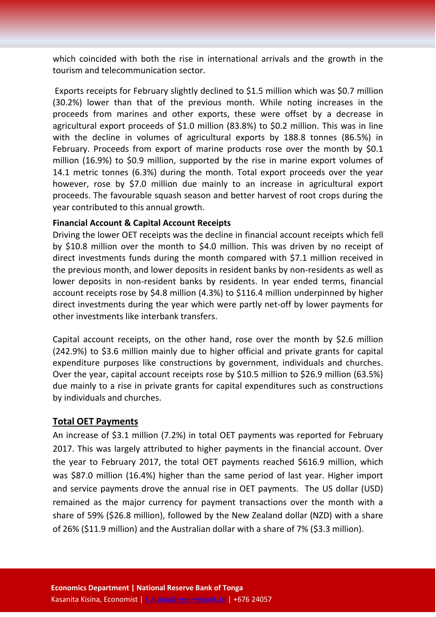which coincided with both the rise in international arrivals and the growth in the tourism and telecommunication sector.

Exports receipts for February slightly declined to \$1.5 million which was \$0.7 million (30.2%) lower than that of the previous month. While noting increases in the proceeds from marines and other exports, these were offset by a decrease in agricultural export proceeds of \$1.0 million (83.8%) to \$0.2 million. This was in line with the decline in volumes of agricultural exports by 188.8 tonnes (86.5%) in February. Proceeds from export of marine products rose over the month by \$0.1 million (16.9%) to \$0.9 million, supported by the rise in marine export volumes of 14.1 metric tonnes (6.3%) during the month. Total export proceeds over the year however, rose by \$7.0 million due mainly to an increase in agricultural export proceeds. The favourable squash season and better harvest of root crops during the year contributed to this annual growth.

#### **Financial Account & Capital Account Receipts**

Driving the lower OET receipts was the decline in financial account receipts which fell by \$10.8 million over the month to \$4.0 million. This was driven by no receipt of direct investments funds during the month compared with \$7.1 million received in the previous month, and lower deposits in resident banks by non-residents as well as lower deposits in non-resident banks by residents. In year ended terms, financial account receipts rose by \$4.8 million (4.3%) to \$116.4 million underpinned by higher direct investments during the year which were partly net-off by lower payments for other investments like interbank transfers.

Capital account receipts, on the other hand, rose over the month by \$2.6 million (242.9%) to \$3.6 million mainly due to higher official and private grants for capital expenditure purposes like constructions by government, individuals and churches. Over the year, capital account receipts rose by \$10.5 million to \$26.9 million (63.5%) due mainly to a rise in private grants for capital expenditures such as constructions by individuals and churches.

#### **Total OET Payments**

An increase of \$3.1 million (7.2%) in total OET payments was reported for February 2017. This was largely attributed to higher payments in the financial account. Over the year to February 2017, the total OET payments reached \$616.9 million, which was \$87.0 million (16.4%) higher than the same period of last year. Higher import and service payments drove the annual rise in OET payments. The US dollar (USD) remained as the major currency for payment transactions over the month with a share of 59% (\$26.8 million), followed by the New Zealand dollar (NZD) with a share of 26% (\$11.9 million) and the Australian dollar with a share of 7% (\$3.3 million).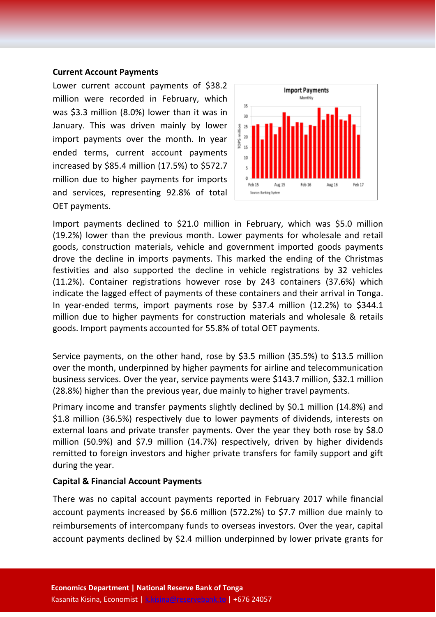#### **Current Account Payments**

Lower current account payments of \$38.2 million were recorded in February, which was \$3.3 million (8.0%) lower than it was in January. This was driven mainly by lower import payments over the month. In year ended terms, current account payments increased by \$85.4 million (17.5%) to \$572.7 million due to higher payments for imports and services, representing 92.8% of total OET payments.



Import payments declined to \$21.0 million in February, which was \$5.0 million (19.2%) lower than the previous month. Lower payments for wholesale and retail goods, construction materials, vehicle and government imported goods payments drove the decline in imports payments. This marked the ending of the Christmas festivities and also supported the decline in vehicle registrations by 32 vehicles (11.2%). Container registrations however rose by 243 containers (37.6%) which indicate the lagged effect of payments of these containers and their arrival in Tonga. In year-ended terms, import payments rose by \$37.4 million (12.2%) to \$344.1 million due to higher payments for construction materials and wholesale & retails goods. Import payments accounted for 55.8% of total OET payments.

Service payments, on the other hand, rose by \$3.5 million (35.5%) to \$13.5 million over the month, underpinned by higher payments for airline and telecommunication business services. Over the year, service payments were \$143.7 million, \$32.1 million (28.8%) higher than the previous year, due mainly to higher travel payments.

Primary income and transfer payments slightly declined by \$0.1 million (14.8%) and \$1.8 million (36.5%) respectively due to lower payments of dividends, interests on external loans and private transfer payments. Over the year they both rose by \$8.0 million (50.9%) and \$7.9 million (14.7%) respectively, driven by higher dividends remitted to foreign investors and higher private transfers for family support and gift during the year.

#### **Capital & Financial Account Payments**

There was no capital account payments reported in February 2017 while financial account payments increased by \$6.6 million (572.2%) to \$7.7 million due mainly to reimbursements of intercompany funds to overseas investors. Over the year, capital account payments declined by \$2.4 million underpinned by lower private grants for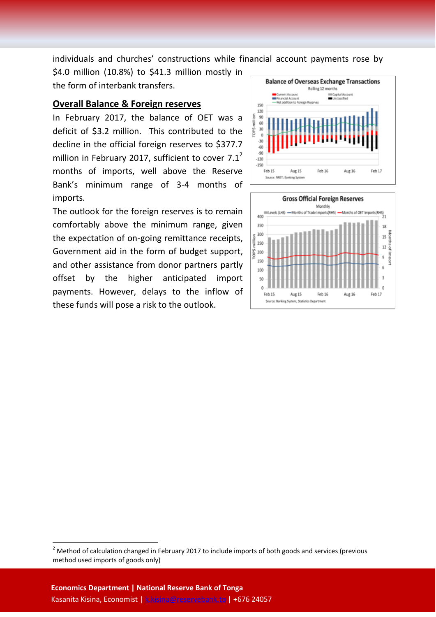individuals and churches' constructions while financial account payments rose by

\$4.0 million (10.8%) to \$41.3 million mostly in the form of interbank transfers.

#### **Overall Balance & Foreign reserves**

In February 2017, the balance of OET was a deficit of \$3.2 million. This contributed to the decline in the official foreign reserves to \$377.7 million in February 2017, sufficient to cover  $7.1<sup>2</sup>$ months of imports, well above the Reserve Bank's minimum range of 3-4 months of imports.

The outlook for the foreign reserves is to remain comfortably above the minimum range, given the expectation of on-going remittance receipts, Government aid in the form of budget support, and other assistance from donor partners partly offset by the higher anticipated import payments. However, delays to the inflow of these funds will pose a risk to the outlook.





1

<sup>&</sup>lt;sup>2</sup> Method of calculation changed in February 2017 to include imports of both goods and services (previous method used imports of goods only)